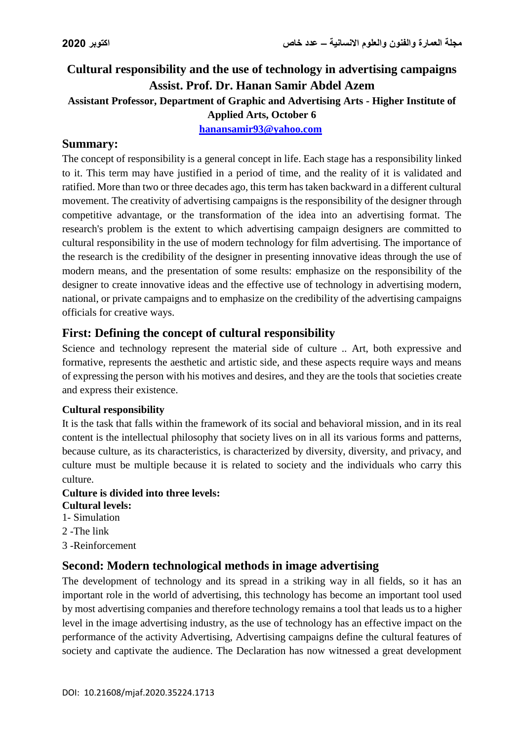# **Cultural responsibility and the use of technology in advertising campaigns Assist. Prof. Dr. Hanan Samir Abdel Azem Assistant Professor, Department of Graphic and Advertising Arts - Higher Institute of Applied Arts, October 6 [hanansamir93@yahoo.com](mailto:hanansamir93@yahoo.com)**

#### **Summary:**

The concept of responsibility is a general concept in life. Each stage has a responsibility linked to it. This term may have justified in a period of time, and the reality of it is validated and ratified. More than two or three decades ago, this term has taken backward in a different cultural movement. The creativity of advertising campaigns is the responsibility of the designer through competitive advantage, or the transformation of the idea into an advertising format. The research's problem is the extent to which advertising campaign designers are committed to cultural responsibility in the use of modern technology for film advertising. The importance of the research is the credibility of the designer in presenting innovative ideas through the use of modern means, and the presentation of some results: emphasize on the responsibility of the designer to create innovative ideas and the effective use of technology in advertising modern, national, or private campaigns and to emphasize on the credibility of the advertising campaigns officials for creative ways.

#### **First: Defining the concept of cultural responsibility**

Science and technology represent the material side of culture .. Art, both expressive and formative, represents the aesthetic and artistic side, and these aspects require ways and means of expressing the person with his motives and desires, and they are the tools that societies create and express their existence.

#### **Cultural responsibility**

It is the task that falls within the framework of its social and behavioral mission, and in its real content is the intellectual philosophy that society lives on in all its various forms and patterns, because culture, as its characteristics, is characterized by diversity, diversity, and privacy, and culture must be multiple because it is related to society and the individuals who carry this culture.

#### **Culture is divided into three levels: Cultural levels:**

- 1- Simulation
- 2 -The link
- 3 -Reinforcement

#### **Second: Modern technological methods in image advertising**

The development of technology and its spread in a striking way in all fields, so it has an important role in the world of advertising, this technology has become an important tool used by most advertising companies and therefore technology remains a tool that leads us to a higher level in the image advertising industry, as the use of technology has an effective impact on the performance of the activity Advertising, Advertising campaigns define the cultural features of society and captivate the audience. The Declaration has now witnessed a great development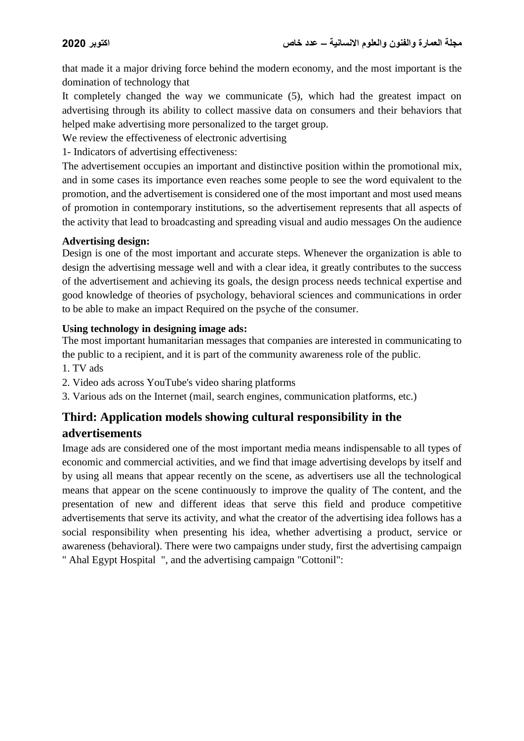that made it a major driving force behind the modern economy, and the most important is the domination of technology that

It completely changed the way we communicate (5), which had the greatest impact on advertising through its ability to collect massive data on consumers and their behaviors that helped make advertising more personalized to the target group.

We review the effectiveness of electronic advertising

1- Indicators of advertising effectiveness:

The advertisement occupies an important and distinctive position within the promotional mix, and in some cases its importance even reaches some people to see the word equivalent to the promotion, and the advertisement is considered one of the most important and most used means of promotion in contemporary institutions, so the advertisement represents that all aspects of the activity that lead to broadcasting and spreading visual and audio messages On the audience

#### **Advertising design:**

Design is one of the most important and accurate steps. Whenever the organization is able to design the advertising message well and with a clear idea, it greatly contributes to the success of the advertisement and achieving its goals, the design process needs technical expertise and good knowledge of theories of psychology, behavioral sciences and communications in order to be able to make an impact Required on the psyche of the consumer.

#### **Using technology in designing image ads:**

The most important humanitarian messages that companies are interested in communicating to the public to a recipient, and it is part of the community awareness role of the public.

- 1. TV ads
- 2. Video ads across YouTube's video sharing platforms
- 3. Various ads on the Internet (mail, search engines, communication platforms, etc.)

# **Third: Application models showing cultural responsibility in the advertisements**

Image ads are considered one of the most important media means indispensable to all types of economic and commercial activities, and we find that image advertising develops by itself and by using all means that appear recently on the scene, as advertisers use all the technological means that appear on the scene continuously to improve the quality of The content, and the presentation of new and different ideas that serve this field and produce competitive advertisements that serve its activity, and what the creator of the advertising idea follows has a social responsibility when presenting his idea, whether advertising a product, service or awareness (behavioral). There were two campaigns under study, first the advertising campaign " Ahal Egypt Hospital ", and the advertising campaign "Cottonil":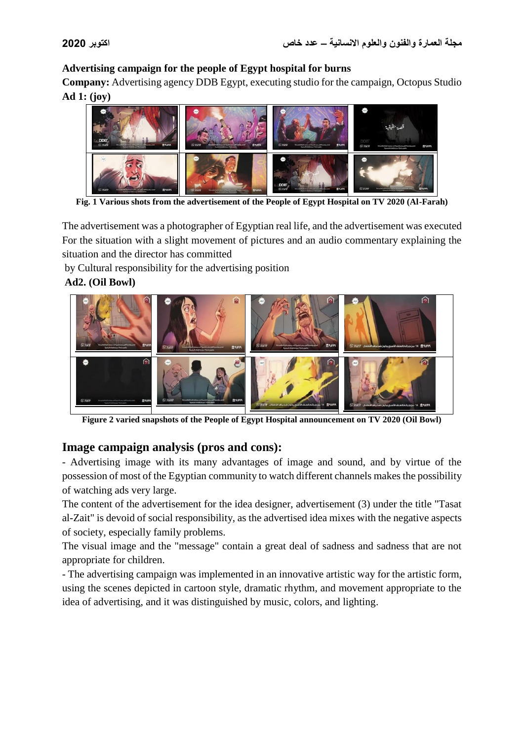#### **Advertising campaign for the people of Egypt hospital for burns**

**Company:** Advertising agency DDB Egypt, executing studio for the campaign, Octopus Studio **Ad 1: (joy)**



**Fig. 1 Various shots from the advertisement of the People of Egypt Hospital on TV 2020 (Al-Farah)**

The advertisement was a photographer of Egyptian real life, and the advertisement was executed For the situation with a slight movement of pictures and an audio commentary explaining the situation and the director has committed

by Cultural responsibility for the advertising position

**Ad2. (Oil Bowl)**



**Figure 2 varied snapshots of the People of Egypt Hospital announcement on TV 2020 (Oil Bowl)**

### **Image campaign analysis (pros and cons):**

- Advertising image with its many advantages of image and sound, and by virtue of the possession of most of the Egyptian community to watch different channels makes the possibility of watching ads very large.

The content of the advertisement for the idea designer, advertisement (3) under the title "Tasat al-Zait" is devoid of social responsibility, as the advertised idea mixes with the negative aspects of society, especially family problems.

The visual image and the "message" contain a great deal of sadness and sadness that are not appropriate for children.

- The advertising campaign was implemented in an innovative artistic way for the artistic form, using the scenes depicted in cartoon style, dramatic rhythm, and movement appropriate to the idea of advertising, and it was distinguished by music, colors, and lighting.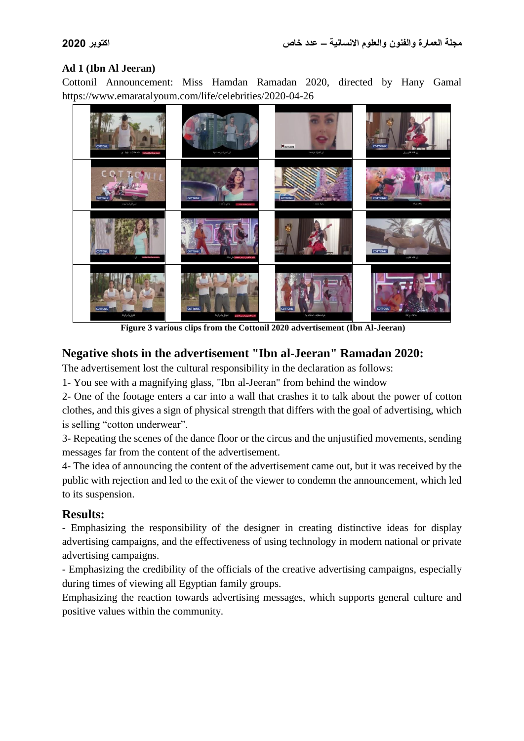#### **Ad 1 (Ibn Al Jeeran)**

Cottonil Announcement: Miss Hamdan Ramadan 2020, directed by Hany Gamal https://www.emaratalyoum.com/life/celebrities/2020-04-26



**Figure 3 various clips from the Cottonil 2020 advertisement (Ibn Al-Jeeran)**

## **Negative shots in the advertisement "Ibn al-Jeeran" Ramadan 2020:**

The advertisement lost the cultural responsibility in the declaration as follows:

1- You see with a magnifying glass, "Ibn al-Jeeran" from behind the window

2- One of the footage enters a car into a wall that crashes it to talk about the power of cotton clothes, and this gives a sign of physical strength that differs with the goal of advertising, which is selling "cotton underwear".

3- Repeating the scenes of the dance floor or the circus and the unjustified movements, sending messages far from the content of the advertisement.

4- The idea of announcing the content of the advertisement came out, but it was received by the public with rejection and led to the exit of the viewer to condemn the announcement, which led to its suspension.

### **Results:**

- Emphasizing the responsibility of the designer in creating distinctive ideas for display advertising campaigns, and the effectiveness of using technology in modern national or private advertising campaigns.

- Emphasizing the credibility of the officials of the creative advertising campaigns, especially during times of viewing all Egyptian family groups.

Emphasizing the reaction towards advertising messages, which supports general culture and positive values within the community.